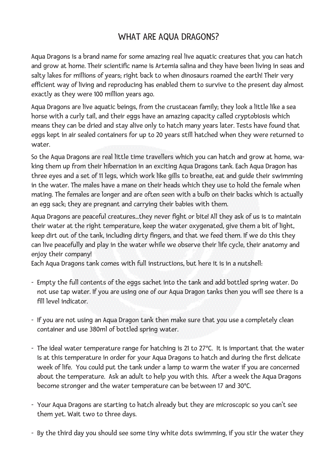## WHAT ARE AQUA DRAGONS?

Aqua Dragons is a brand name for some amazing real live aquatic creatures that you can hatch and grow at home. Their scientific name is Artemia salina and they have been living in seas and salty lakes for millions of years; right back to when dinosaurs roamed the earth! Their very efficient way of living and reproducing has enabled them to survive to the present day almost exactly as they were 100 million years ago.

Aqua Dragons are live aquatic beings, from the crustacean family; they look a little like a sea horse with a curly tail, and their eggs have an amazing capacity called cryptobiosis which means they can be dried and stay alive only to hatch many years later. Tests have found that eggs kept in air sealed containers for up to 20 years still hatched when they were returned to water.

So the Aqua Dragons are real little time travellers which you can hatch and grow at home, waking them up from their hibernation in an exciting Aqua Dragons tank. Each Aqua Dragon has three eyes and a set of 11 legs, which work like gills to breathe, eat and guide their swimming in the water. The males have a mane on their heads which they use to hold the female when mating. The females are longer and are often seen with a bulb on their backs which is actually an egg sack; they are pregnant and carrying their babies with them.

Aqua Dragons are peaceful creatures...they never fight or bite! All they ask of us is to maintain their water at the right temperature, keep the water oxygenated, give them a bit of light, keep dirt out of the tank, including dirty fingers, and that we feed them. If we do this they can live peacefully and play in the water while we observe their life cycle, their anatomy and enjoy their company!

Each Aqua Dragons tank comes with full instructions, but here it is in a nutshell:

- Empty the full contents of the eggs sachet into the tank and add bottled spring water. Do not use tap water. If you are using one of our Aqua Dragon tanks then you will see there is a fill level indicator.
- If you are not using an Aqua Dragon tank then make sure that you use a completely clean container and use 380ml of bottled spring water.
- The ideal water temperature range for hatching is 21 to 27ºC. It is important that the water is at this temperature in order for your Aqua Dragons to hatch and during the first delicate week of life. You could put the tank under a lamp to warm the water if you are concerned about the temperature. Ask an adult to help you with this. After a week the Aqua Dragons become stronger and the water temperature can be between 17 and 30ºC.
- Your Aqua Dragons are starting to hatch already but they are microscopic so you can't see them yet. Wait two to three days.
- By the third day you should see some tiny white dots swimming, if you stir the water they